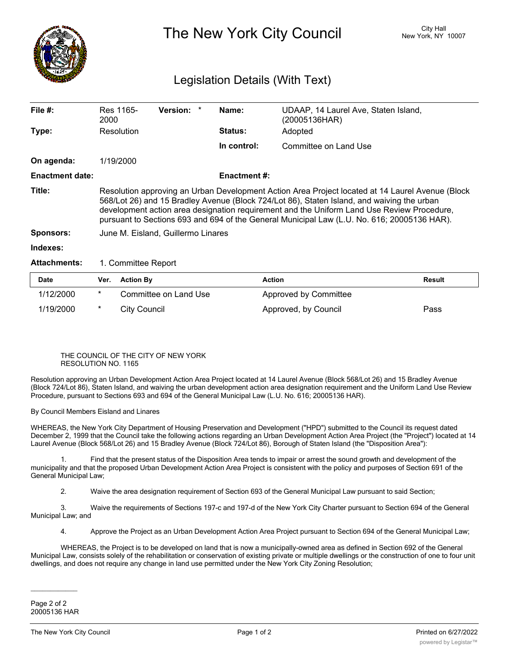

The New York City Council New York, NY 10007

## Legislation Details (With Text)

| File $#$ :             | Res 1165-<br>2000                                                                                                                                                                                                                                                                                                                                                                           | <b>Version:</b> |  | Name:               | UDAAP, 14 Laurel Ave, Staten Island,<br>(20005136HAR) |  |  |
|------------------------|---------------------------------------------------------------------------------------------------------------------------------------------------------------------------------------------------------------------------------------------------------------------------------------------------------------------------------------------------------------------------------------------|-----------------|--|---------------------|-------------------------------------------------------|--|--|
| Type:                  | Resolution                                                                                                                                                                                                                                                                                                                                                                                  |                 |  | <b>Status:</b>      | Adopted                                               |  |  |
|                        |                                                                                                                                                                                                                                                                                                                                                                                             |                 |  | In control:         | Committee on Land Use                                 |  |  |
| On agenda:             | 1/19/2000                                                                                                                                                                                                                                                                                                                                                                                   |                 |  |                     |                                                       |  |  |
| <b>Enactment date:</b> |                                                                                                                                                                                                                                                                                                                                                                                             |                 |  | <b>Enactment #:</b> |                                                       |  |  |
| Title:                 | Resolution approving an Urban Development Action Area Project located at 14 Laurel Avenue (Block<br>568/Lot 26) and 15 Bradley Avenue (Block 724/Lot 86), Staten Island, and waiving the urban<br>development action area designation requirement and the Uniform Land Use Review Procedure,<br>pursuant to Sections 693 and 694 of the General Municipal Law (L.U. No. 616; 20005136 HAR). |                 |  |                     |                                                       |  |  |
| <b>Sponsors:</b>       | June M. Eisland, Guillermo Linares                                                                                                                                                                                                                                                                                                                                                          |                 |  |                     |                                                       |  |  |
| Indexes:               |                                                                                                                                                                                                                                                                                                                                                                                             |                 |  |                     |                                                       |  |  |
| <b>Attachments:</b>    | 1. Committee Report                                                                                                                                                                                                                                                                                                                                                                         |                 |  |                     |                                                       |  |  |

| <b>Date</b> | Ver. Action By        | <b>Action</b>         | Result |
|-------------|-----------------------|-----------------------|--------|
| 1/12/2000   | Committee on Land Use | Approved by Committee |        |
| 1/19/2000   | City Council          | Approved, by Council  | Pass   |

## THE COUNCIL OF THE CITY OF NEW YORK RESOLUTION NO. 1165

Resolution approving an Urban Development Action Area Project located at 14 Laurel Avenue (Block 568/Lot 26) and 15 Bradley Avenue (Block 724/Lot 86), Staten Island, and waiving the urban development action area designation requirement and the Uniform Land Use Review Procedure, pursuant to Sections 693 and 694 of the General Municipal Law (L.U. No. 616; 20005136 HAR).

By Council Members Eisland and Linares

WHEREAS, the New York City Department of Housing Preservation and Development ("HPD") submitted to the Council its request dated December 2, 1999 that the Council take the following actions regarding an Urban Development Action Area Project (the "Project") located at 14 Laurel Avenue (Block 568/Lot 26) and 15 Bradley Avenue (Block 724/Lot 86), Borough of Staten Island (the "Disposition Area"):

1. Find that the present status of the Disposition Area tends to impair or arrest the sound growth and development of the municipality and that the proposed Urban Development Action Area Project is consistent with the policy and purposes of Section 691 of the General Municipal Law;

2. Waive the area designation requirement of Section 693 of the General Municipal Law pursuant to said Section;

3. Waive the requirements of Sections 197-c and 197-d of the New York City Charter pursuant to Section 694 of the General Municipal Law; and

4. Approve the Project as an Urban Development Action Area Project pursuant to Section 694 of the General Municipal Law;

WHEREAS, the Project is to be developed on land that is now a municipally-owned area as defined in Section 692 of the General Municipal Law, consists solely of the rehabilitation or conservation of existing private or multiple dwellings or the construction of one to four unit dwellings, and does not require any change in land use permitted under the New York City Zoning Resolution;

 $\mathcal{L}=\mathcal{L}^{\mathcal{L}}$